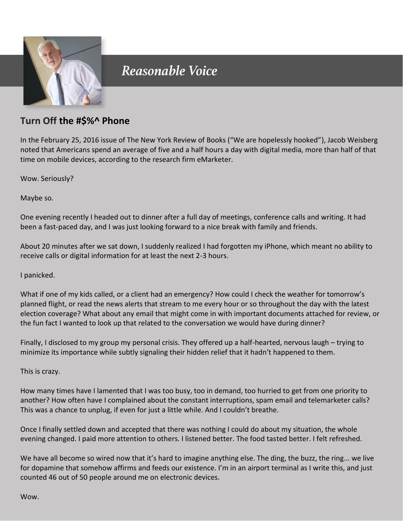

## Reasonable Voice

## **Turn Off the #\$%^ Phone**

In the February 25, 2016 issue of The New York Review of Books ("We are hopelessly hooked"), Jacob Weisberg noted that Americans spend an average of five and a half hours a day with digital media, more than half of that time on mobile devices, according to the research firm eMarketer.

Wow. Seriously?

Maybe so.

One evening recently I headed out to dinner after a full day of meetings, conference calls and writing. It had been a fast-paced day, and I was just looking forward to a nice break with family and friends.

About 20 minutes after we sat down, I suddenly realized I had forgotten my iPhone, which meant no ability to receive calls or digital information for at least the next 2-3 hours.

I panicked.

What if one of my kids called, or a client had an emergency? How could I check the weather for tomorrow's planned flight, or read the news alerts that stream to me every hour or so throughout the day with the latest election coverage? What about any email that might come in with important documents attached for review, or the fun fact I wanted to look up that related to the conversation we would have during dinner?

Finally, I disclosed to my group my personal crisis. They offered up a half-hearted, nervous laugh – trying to minimize its importance while subtly signaling their hidden relief that it hadn't happened to them.

This is crazy.

How many times have I lamented that I was too busy, too in demand, too hurried to get from one priority to another? How often have I complained about the constant interruptions, spam email and telemarketer calls? This was a chance to unplug, if even for just a little while. And I couldn't breathe.

Once I finally settled down and accepted that there was nothing I could do about my situation, the whole evening changed. I paid more attention to others. I listened better. The food tasted better. I felt refreshed.

We have all become so wired now that it's hard to imagine anything else. The ding, the buzz, the ring... we live for dopamine that somehow affirms and feeds our existence. I'm in an airport terminal as I write this, and just counted 46 out of 50 people around me on electronic devices.

Wow.